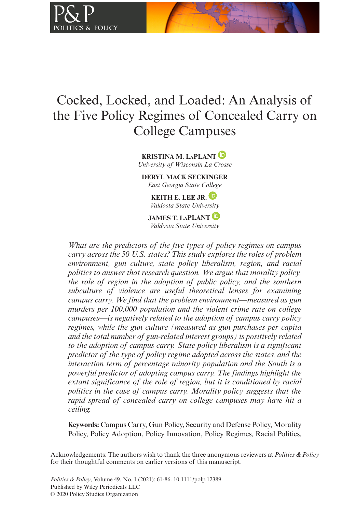

# Cocked, Locked, and Loaded: An Analysis of the Five Policy Regimes of Concealed Carry on College Campuses

**KRISTINA M. LaPLAN[T](https://orcid.org/0000-0002-8716-7094)** *University of Wisconsin La Crosse*

**DERYL MACK SECKINGER** *East Georgia State College*

> **KEITH E. LEE JR.** *Valdosta State University*

**JAMES T. LaPLANT** *Valdosta State University*

*What are the predictors of the five types of policy regimes on campus carry across the 50 U.S. states? This study explores the roles of problem environment, gun culture, state policy liberalism, region, and racial politics to answer that research question. We argue that morality policy, the role of region in the adoption of public policy, and the southern subculture of violence are useful theoretical lenses for examining campus carry. We find that the problem environment—measured as gun murders per 100,000 population and the violent crime rate on college campuses—is negatively related to the adoption of campus carry policy regimes, while the gun culture (measured as gun purchases per capita and the total number of gun-related interest groups) is positively related to the adoption of campus carry. State policy liberalism is a significant predictor of the type of policy regime adopted across the states, and the interaction term of percentage minority population and the South is a powerful predictor of adopting campus carry. The findings highlight the extant significance of the role of region, but it is conditioned by racial politics in the case of campus carry. Morality policy suggests that the rapid spread of concealed carry on college campuses may have hit a ceiling.*

**Keywords:** Campus Carry, Gun Policy, Security and Defense Policy, Morality Policy, Policy Adoption, Policy Innovation, Policy Regimes, Racial Politics,

Acknowledgements: The authors wish to thank the three anonymous reviewers at *Politics & Policy* for their thoughtful comments on earlier versions of this manuscript.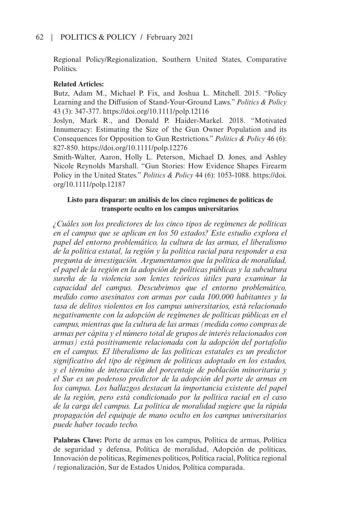Regional Policy/Regionalization, Southern United States, Comparative Politics.

## **Related Articles:**

Butz, Adam M., Michael P. Fix, and Joshua L. Mitchell. 2015. "Policy Learning and the Diffusion of Stand-Your-Ground Laws." *Politics & Policy* 43 (3): 347-377. <https://doi.org/10.1111/polp.12116>

Joslyn, Mark R., and Donald P. Haider-Markel. 2018. "Motivated Innumeracy: Estimating the Size of the Gun Owner Population and its Consequences for Opposition to Gun Restrictions." *Politics & Policy* 46 (6): 827-850. <https://doi.org/10.1111/polp.12276>

Smith-Walter, Aaron, Holly L. Peterson, Michael D. Jones, and Ashley Nicole Reynolds Marshall. "Gun Stories: How Evidence Shapes Firearm Policy in the United States." *Politics & Policy* 44 (6): 1053-1088. [https://doi.](https://doi.org/10.1111/polp.12187) [org/10.1111/polp.12187](https://doi.org/10.1111/polp.12187)

## **Listo para disparar: un análisis de los cinco regímenes de políticas de transporte oculto en los campus universitarios**

*¿Cuáles son los predictores de los cinco tipos de regímenes de políticas en el campus que se aplican en los 50 estados? Este estudio explora el papel del entorno problemático, la cultura de las armas, el liberalismo de la política estatal, la región y la política racial para responder a esa pregunta de investigación. Argumentamos que la política de moralidad, el papel de la región en la adopción de políticas públicas y la subcultura sureña de la violencia son lentes teóricos útiles para examinar la capacidad del campus. Descubrimos que el entorno problemático, medido como asesinatos con armas por cada 100,000 habitantes y la tasa de delitos violentos en los campus universitarios, está relacionado negativamente con la adopción de regímenes de políticas públicas en el campus, mientras que la cultura de las armas (medida como compras de armas per cápita y el número total de grupos de interés relacionados con armas) está positivamente relacionada con la adopción del portafolio en el campus. El liberalismo de las políticas estatales es un predictor significativo del tipo de régimen de políticas adoptado en los estados, y el término de interacción del porcentaje de población minoritaria y el Sur es un poderoso predictor de la adopción del porte de armas en los campus. Los hallazgos destacan la importancia existente del papel de la región, pero está condicionado por la política racial en el caso de la carga del campus. La política de moralidad sugiere que la rápida propagación del equipaje de mano oculto en los campus universitarios puede haber tocado techo.*

**Palabras Clave:** Porte de armas en los campus, Política de armas, Política de seguridad y defensa, Política de moralidad, Adopción de políticas, Innovación de políticas, Regímenes políticos, Política racial, Política regional / regionalización, Sur de Estados Unidos, Política comparada.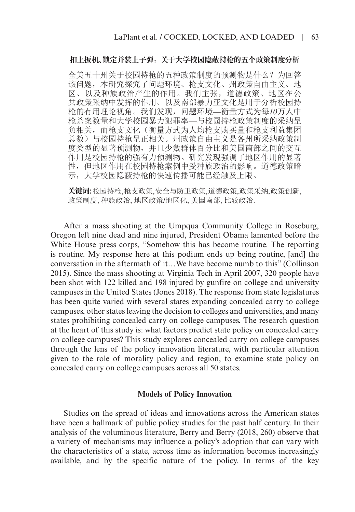#### **扣上扳机、锁定并装上子弹**:**关于大学校园隐蔽持枪的五个政策制度分析**

全美五十州关于校园持枪的五种政策制度的预测物是什么?为回答 该问题,本研究探究了问题环境、枪支文化、州政策自由主义、地 区、以及种族政治产生的作用。我们主张,道德政策、地区在公 共政策采纳中发挥的作用、以及南部暴力亚文化是用于分析校园持 枪的有用理论视角。我们发现,问题环境*—*衡量方式为每*10*万人中 枪杀案数量和大学校园暴力犯罪率*—*与校园持枪政策制度的采纳呈 负相关,而枪支文化(衡量方式为人均枪支购买量和枪支利益集团 总数)与校园持枪呈正相关。州政策自由主义是各州所采纳政策制 度类型的显著预测物,并且少数群体百分比和美国南部之间的交互 作用是校园持枪的强有力预测物。研究发现强调了地区作用的显著 性,但地区作用在校园持枪案例中受种族政治的影响。道德政策暗 示,大学校园隐蔽持枪的快速传播可能已经触及上限。

**关键词:**校园持枪, 枪支政策, 安全与防卫政策, 道德政策, 政策采纳, 政策创新, 政策制度, 种族政治, 地区政策/地区化, 美国南部, 比较政治.

After a mass shooting at the Umpqua Community College in Roseburg, Oregon left nine dead and nine injured, President Obama lamented before the White House press corps, "Somehow this has become routine. The reporting is routine. My response here at this podium ends up being routine, [and] the conversation in the aftermath of it…We have become numb to this" (Collinson 2015). Since the mass shooting at Virginia Tech in April 2007, 320 people have been shot with 122 killed and 198 injured by gunfire on college and university campuses in the United States (Jones 2018). The response from state legislatures has been quite varied with several states expanding concealed carry to college campuses, other states leaving the decision to colleges and universities, and many states prohibiting concealed carry on college campuses. The research question at the heart of this study is: what factors predict state policy on concealed carry on college campuses? This study explores concealed carry on college campuses through the lens of the policy innovation literature, with particular attention given to the role of morality policy and region, to examine state policy on concealed carry on college campuses across all 50 states.

#### **Models of Policy Innovation**

Studies on the spread of ideas and innovations across the American states have been a hallmark of public policy studies for the past half century. In their analysis of the voluminous literature, Berry and Berry (2018, 260) observe that a variety of mechanisms may influence a policy's adoption that can vary with the characteristics of a state, across time as information becomes increasingly available, and by the specific nature of the policy. In terms of the key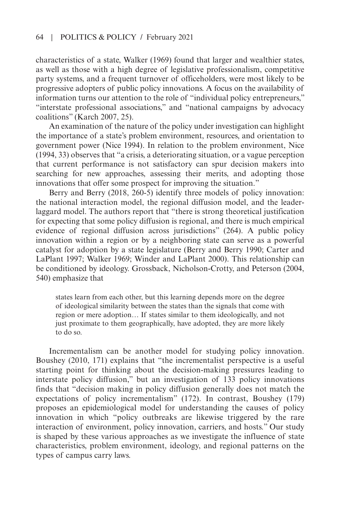characteristics of a state, Walker (1969) found that larger and wealthier states, as well as those with a high degree of legislative professionalism, competitive party systems, and a frequent turnover of officeholders, were most likely to be progressive adopters of public policy innovations. A focus on the availability of information turns our attention to the role of "individual policy entrepreneurs," "interstate professional associations," and "national campaigns by advocacy coalitions" (Karch 2007, 25).

An examination of the nature of the policy under investigation can highlight the importance of a state's problem environment, resources, and orientation to government power (Nice 1994). In relation to the problem environment, Nice (1994, 33) observes that "a crisis, a deteriorating situation, or a vague perception that current performance is not satisfactory can spur decision makers into searching for new approaches, assessing their merits, and adopting those innovations that offer some prospect for improving the situation."

Berry and Berry (2018, 260-5) identify three models of policy innovation: the national interaction model, the regional diffusion model, and the leaderlaggard model. The authors report that "there is strong theoretical justification for expecting that some policy diffusion is regional, and there is much empirical evidence of regional diffusion across jurisdictions" (264). A public policy innovation within a region or by a neighboring state can serve as a powerful catalyst for adoption by a state legislature (Berry and Berry 1990; Carter and LaPlant 1997; Walker 1969; Winder and LaPlant 2000). This relationship can be conditioned by ideology. Grossback, Nicholson-Crotty, and Peterson (2004, 540) emphasize that

states learn from each other, but this learning depends more on the degree of ideological similarity between the states than the signals that come with region or mere adoption… If states similar to them ideologically, and not just proximate to them geographically, have adopted, they are more likely to do so.

Incrementalism can be another model for studying policy innovation. Boushey (2010, 171) explains that "the incrementalist perspective is a useful starting point for thinking about the decision-making pressures leading to interstate policy diffusion," but an investigation of 133 policy innovations finds that "decision making in policy diffusion generally does not match the expectations of policy incrementalism" (172). In contrast, Boushey (179) proposes an epidemiological model for understanding the causes of policy innovation in which "policy outbreaks are likewise triggered by the rare interaction of environment, policy innovation, carriers, and hosts." Our study is shaped by these various approaches as we investigate the influence of state characteristics, problem environment, ideology, and regional patterns on the types of campus carry laws.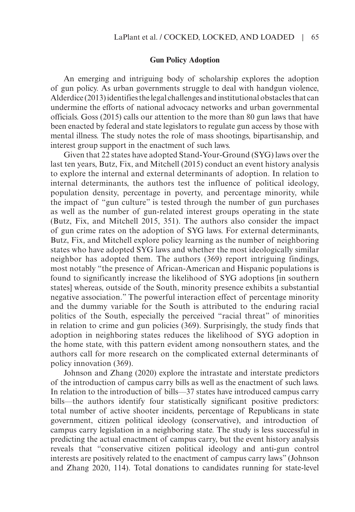#### **Gun Policy Adoption**

An emerging and intriguing body of scholarship explores the adoption of gun policy. As urban governments struggle to deal with handgun violence, Alderdice (2013) identifies the legal challenges and institutional obstacles that can undermine the efforts of national advocacy networks and urban governmental officials. Goss (2015) calls our attention to the more than 80 gun laws that have been enacted by federal and state legislators to regulate gun access by those with mental illness. The study notes the role of mass shootings, bipartisanship, and interest group support in the enactment of such laws.

Given that 22 states have adopted Stand-Your-Ground (SYG) laws over the last ten years, Butz, Fix, and Mitchell (2015) conduct an event history analysis to explore the internal and external determinants of adoption. In relation to internal determinants, the authors test the influence of political ideology, population density, percentage in poverty, and percentage minority, while the impact of "gun culture" is tested through the number of gun purchases as well as the number of gun-related interest groups operating in the state (Butz, Fix, and Mitchell 2015, 351). The authors also consider the impact of gun crime rates on the adoption of SYG laws. For external determinants, Butz, Fix, and Mitchell explore policy learning as the number of neighboring states who have adopted SYG laws and whether the most ideologically similar neighbor has adopted them. The authors (369) report intriguing findings, most notably "the presence of African-American and Hispanic populations is found to significantly increase the likelihood of SYG adoptions [in southern states] whereas, outside of the South, minority presence exhibits a substantial negative association." The powerful interaction effect of percentage minority and the dummy variable for the South is attributed to the enduring racial politics of the South, especially the perceived "racial threat" of minorities in relation to crime and gun policies (369). Surprisingly, the study finds that adoption in neighboring states reduces the likelihood of SYG adoption in the home state, with this pattern evident among nonsouthern states, and the authors call for more research on the complicated external determinants of policy innovation (369).

Johnson and Zhang (2020) explore the intrastate and interstate predictors of the introduction of campus carry bills as well as the enactment of such laws. In relation to the introduction of bills—37 states have introduced campus carry bills—the authors identify four statistically significant positive predictors: total number of active shooter incidents, percentage of Republicans in state government, citizen political ideology (conservative), and introduction of campus carry legislation in a neighboring state. The study is less successful in predicting the actual enactment of campus carry, but the event history analysis reveals that "conservative citizen political ideology and anti-gun control interests are positively related to the enactment of campus carry laws" (Johnson and Zhang 2020, 114). Total donations to candidates running for state-level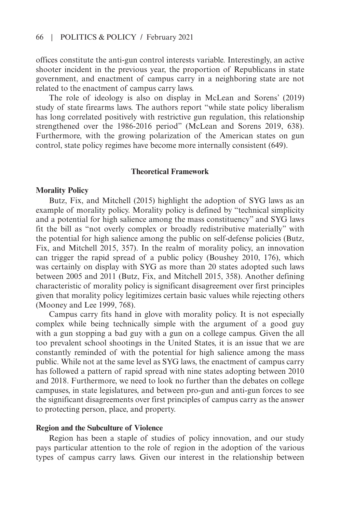offices constitute the anti-gun control interests variable. Interestingly, an active shooter incident in the previous year, the proportion of Republicans in state government, and enactment of campus carry in a neighboring state are not related to the enactment of campus carry laws.

The role of ideology is also on display in McLean and Sorens' (2019) study of state firearms laws. The authors report "while state policy liberalism has long correlated positively with restrictive gun regulation, this relationship strengthened over the 1986-2016 period" (McLean and Sorens 2019, 638). Furthermore, with the growing polarization of the American states on gun control, state policy regimes have become more internally consistent (649).

#### **Theoretical Framework**

#### **Morality Policy**

Butz, Fix, and Mitchell (2015) highlight the adoption of SYG laws as an example of morality policy. Morality policy is defined by "technical simplicity and a potential for high salience among the mass constituency" and SYG laws fit the bill as "not overly complex or broadly redistributive materially" with the potential for high salience among the public on self-defense policies (Butz, Fix, and Mitchell 2015, 357). In the realm of morality policy, an innovation can trigger the rapid spread of a public policy (Boushey 2010, 176), which was certainly on display with SYG as more than 20 states adopted such laws between 2005 and 2011 (Butz, Fix, and Mitchell 2015, 358). Another defining characteristic of morality policy is significant disagreement over first principles given that morality policy legitimizes certain basic values while rejecting others (Mooney and Lee 1999, 768).

Campus carry fits hand in glove with morality policy. It is not especially complex while being technically simple with the argument of a good guy with a gun stopping a bad guy with a gun on a college campus. Given the all too prevalent school shootings in the United States, it is an issue that we are constantly reminded of with the potential for high salience among the mass public. While not at the same level as SYG laws, the enactment of campus carry has followed a pattern of rapid spread with nine states adopting between 2010 and 2018. Furthermore, we need to look no further than the debates on college campuses, in state legislatures, and between pro-gun and anti-gun forces to see the significant disagreements over first principles of campus carry as the answer to protecting person, place, and property.

#### **Region and the Subculture of Violence**

Region has been a staple of studies of policy innovation, and our study pays particular attention to the role of region in the adoption of the various types of campus carry laws. Given our interest in the relationship between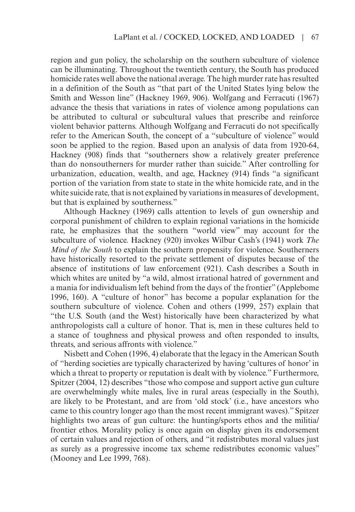region and gun policy, the scholarship on the southern subculture of violence can be illuminating. Throughout the twentieth century, the South has produced homicide rates well above the national average. The high murder rate has resulted in a definition of the South as "that part of the United States lying below the Smith and Wesson line" (Hackney 1969, 906). Wolfgang and Ferracuti (1967) advance the thesis that variations in rates of violence among populations can be attributed to cultural or subcultural values that prescribe and reinforce violent behavior patterns. Although Wolfgang and Ferracuti do not specifically refer to the American South, the concept of a "subculture of violence" would soon be applied to the region. Based upon an analysis of data from 1920-64, Hackney (908) finds that "southerners show a relatively greater preference than do nonsoutherners for murder rather than suicide." After controlling for urbanization, education, wealth, and age, Hackney (914) finds "a significant portion of the variation from state to state in the white homicide rate, and in the white suicide rate, that is not explained by variations in measures of development, but that is explained by southerness."

Although Hackney (1969) calls attention to levels of gun ownership and corporal punishment of children to explain regional variations in the homicide rate, he emphasizes that the southern "world view" may account for the subculture of violence. Hackney (920) invokes Wilbur Cash's (1941) work *The Mind of the South* to explain the southern propensity for violence. Southerners have historically resorted to the private settlement of disputes because of the absence of institutions of law enforcement (921). Cash describes a South in which whites are united by "a wild, almost irrational hatred of government and a mania for individualism left behind from the days of the frontier" (Applebome 1996, 160). A "culture of honor" has become a popular explanation for the southern subculture of violence. Cohen and others (1999, 257) explain that "the U.S. South (and the West) historically have been characterized by what anthropologists call a culture of honor. That is, men in these cultures held to a stance of toughness and physical prowess and often responded to insults, threats, and serious affronts with violence."

Nisbett and Cohen (1996, 4) elaborate that the legacy in the American South of "herding societies are typically characterized by having 'cultures of honor' in which a threat to property or reputation is dealt with by violence." Furthermore, Spitzer (2004, 12) describes "those who compose and support active gun culture are overwhelmingly white males, live in rural areas (especially in the South), are likely to be Protestant, and are from 'old stock' (i.e., have ancestors who came to this country longer ago than the most recent immigrant waves)." Spitzer highlights two areas of gun culture: the hunting/sports ethos and the militia/ frontier ethos. Morality policy is once again on display given its endorsement of certain values and rejection of others, and "it redistributes moral values just as surely as a progressive income tax scheme redistributes economic values" (Mooney and Lee 1999, 768).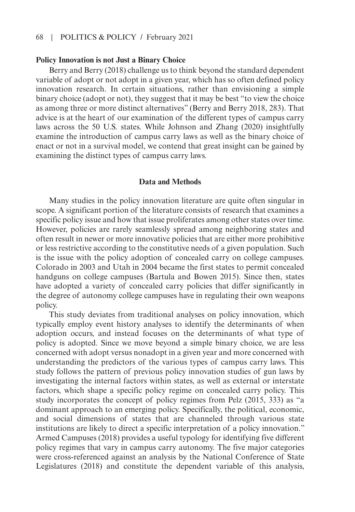## 68 | Politics & Policy / February 2021

#### **Policy Innovation is not Just a Binary Choice**

Berry and Berry (2018) challenge us to think beyond the standard dependent variable of adopt or not adopt in a given year, which has so often defined policy innovation research. In certain situations, rather than envisioning a simple binary choice (adopt or not), they suggest that it may be best "to view the choice as among three or more distinct alternatives" (Berry and Berry 2018, 283). That advice is at the heart of our examination of the different types of campus carry laws across the 50 U.S. states. While Johnson and Zhang (2020) insightfully examine the introduction of campus carry laws as well as the binary choice of enact or not in a survival model, we contend that great insight can be gained by examining the distinct types of campus carry laws.

#### **Data and Methods**

Many studies in the policy innovation literature are quite often singular in scope. A significant portion of the literature consists of research that examines a specific policy issue and how that issue proliferates among other states over time. However, policies are rarely seamlessly spread among neighboring states and often result in newer or more innovative policies that are either more prohibitive or less restrictive according to the constitutive needs of a given population. Such is the issue with the policy adoption of concealed carry on college campuses. Colorado in 2003 and Utah in 2004 became the first states to permit concealed handguns on college campuses (Bartula and Bowen 2015). Since then, states have adopted a variety of concealed carry policies that differ significantly in the degree of autonomy college campuses have in regulating their own weapons policy.

This study deviates from traditional analyses on policy innovation, which typically employ event history analyses to identify the determinants of when adoption occurs, and instead focuses on the determinants of what type of policy is adopted. Since we move beyond a simple binary choice, we are less concerned with adopt versus nonadopt in a given year and more concerned with understanding the predictors of the various types of campus carry laws. This study follows the pattern of previous policy innovation studies of gun laws by investigating the internal factors within states, as well as external or interstate factors, which shape a specific policy regime on concealed carry policy. This study incorporates the concept of policy regimes from Pelz (2015, 333) as "a dominant approach to an emerging policy. Specifically, the political, economic, and social dimensions of states that are channeled through various state institutions are likely to direct a specific interpretation of a policy innovation." Armed Campuses (2018) provides a useful typology for identifying five different policy regimes that vary in campus carry autonomy. The five major categories were cross-referenced against an analysis by the National Conference of State Legislatures (2018) and constitute the dependent variable of this analysis,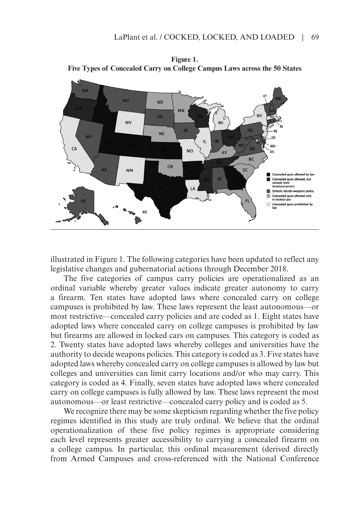

**Figure 1. Five Types of Concealed Carry on College Campus Laws across the 50 States**

illustrated in Figure 1. The following categories have been updated to reflect any legislative changes and gubernatorial actions through December 2018.

The five categories of campus carry policies are operationalized as an ordinal variable whereby greater values indicate greater autonomy to carry a firearm. Ten states have adopted laws where concealed carry on college campuses is prohibited by law. These laws represent the least autonomous—or most restrictive—concealed carry policies and are coded as 1. Eight states have adopted laws where concealed carry on college campuses is prohibited by law but firearms are allowed in locked cars on campuses. This category is coded as 2. Twenty states have adopted laws whereby colleges and universities have the authority to decide weapons policies. This category is coded as 3. Five states have adopted laws whereby concealed carry on college campuses is allowed by law but colleges and universities can limit carry locations and/or who may carry. This category is coded as 4. Finally, seven states have adopted laws where concealed carry on college campuses is fully allowed by law. These laws represent the most autonomous—or least restrictive—concealed carry policy and is coded as 5.

We recognize there may be some skepticism regarding whether the five policy regimes identified in this study are truly ordinal. We believe that the ordinal operationalization of these five policy regimes is appropriate considering each level represents greater accessibility to carrying a concealed firearm on a college campus. In particular, this ordinal measurement (derived directly from Armed Campuses and cross-referenced with the National Conference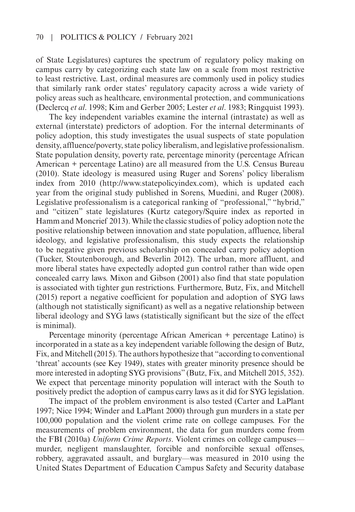of State Legislatures) captures the spectrum of regulatory policy making on campus carry by categorizing each state law on a scale from most restrictive to least restrictive. Last, ordinal measures are commonly used in policy studies that similarly rank order states' regulatory capacity across a wide variety of policy areas such as healthcare, environmental protection, and communications (Declercq *et al*. 1998; Kim and Gerber 2005; Lester *et al*. 1983; Ringquist 1993).

The key independent variables examine the internal (intrastate) as well as external (interstate) predictors of adoption. For the internal determinants of policy adoption, this study investigates the usual suspects of state population density, affluence/poverty, state policy liberalism, and legislative professionalism. State population density, poverty rate, percentage minority (percentage African American + percentage Latino) are all measured from the U.S. Census Bureau (2010). State ideology is measured using Ruger and Sorens' policy liberalism index from 2010 [\(http://www.statepolicyindex.com\)](http://www.statepolicyindex.com), which is updated each year from the original study published in Sorens, Muedini, and Ruger (2008). Legislative professionalism is a categorical ranking of "professional," "hybrid," and "citizen" state legislatures (Kurtz category/Squire index as reported in Hamm and Moncrief 2013). While the classic studies of policy adoption note the positive relationship between innovation and state population, affluence, liberal ideology, and legislative professionalism, this study expects the relationship to be negative given previous scholarship on concealed carry policy adoption (Tucker, Stoutenborough, and Beverlin 2012). The urban, more affluent, and more liberal states have expectedly adopted gun control rather than wide open concealed carry laws. Mixon and Gibson (2001) also find that state population is associated with tighter gun restrictions. Furthermore, Butz, Fix, and Mitchell (2015) report a negative coefficient for population and adoption of SYG laws (although not statistically significant) as well as a negative relationship between liberal ideology and SYG laws (statistically significant but the size of the effect is minimal).

Percentage minority (percentage African American + percentage Latino) is incorporated in a state as a key independent variable following the design of Butz, Fix, and Mitchell (2015). The authors hypothesize that "according to conventional 'threat' accounts (see Key 1949), states with greater minority presence should be more interested in adopting SYG provisions" (Butz, Fix, and Mitchell 2015, 352). We expect that percentage minority population will interact with the South to positively predict the adoption of campus carry laws as it did for SYG legislation.

The impact of the problem environment is also tested (Carter and LaPlant 1997; Nice 1994; Winder and LaPlant 2000) through gun murders in a state per 100,000 population and the violent crime rate on college campuses. For the measurements of problem environment, the data for gun murders come from the FBI (2010a) *Uniform Crime Reports*. Violent crimes on college campuses murder, negligent manslaughter, forcible and nonforcible sexual offenses, robbery, aggravated assault, and burglary—was measured in 2010 using the United States Department of Education Campus Safety and Security database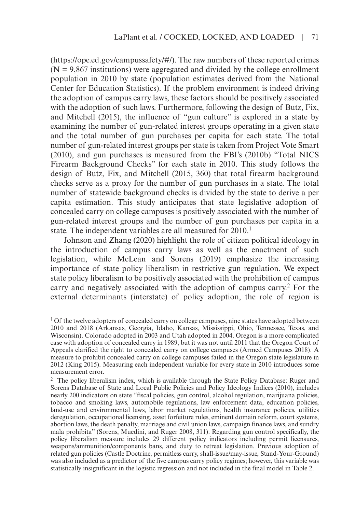(<https://ope.ed.gov/campussafety/#/>). The raw numbers of these reported crimes  $(N = 9,867$  institutions) were aggregated and divided by the college enrollment population in 2010 by state (population estimates derived from the National Center for Education Statistics). If the problem environment is indeed driving the adoption of campus carry laws, these factors should be positively associated with the adoption of such laws. Furthermore, following the design of Butz, Fix, and Mitchell (2015), the influence of "gun culture" is explored in a state by examining the number of gun-related interest groups operating in a given state and the total number of gun purchases per capita for each state. The total number of gun-related interest groups per state is taken from Project Vote Smart (2010), and gun purchases is measured from the FBI's (2010b) "Total NICS Firearm Background Checks" for each state in 2010. This study follows the design of Butz, Fix, and Mitchell (2015, 360) that total firearm background checks serve as a proxy for the number of gun purchases in a state. The total number of statewide background checks is divided by the state to derive a per capita estimation. This study anticipates that state legislative adoption of concealed carry on college campuses is positively associated with the number of gun-related interest groups and the number of gun purchases per capita in a state. The independent variables are all measured for 2010.<sup>1</sup>

Johnson and Zhang (2020) highlight the role of citizen political ideology in the introduction of campus carry laws as well as the enactment of such legislation, while McLean and Sorens (2019) emphasize the increasing importance of state policy liberalism in restrictive gun regulation. We expect state policy liberalism to be positively associated with the prohibition of campus carry and negatively associated with the adoption of campus carry.2 For the external determinants (interstate) of policy adoption, the role of region is

<sup>&</sup>lt;sup>1</sup> Of the twelve adopters of concealed carry on college campuses, nine states have adopted between 2010 and 2018 (Arkansas, Georgia, Idaho, Kansas, Mississippi, Ohio, Tennessee, Texas, and Wisconsin). Colorado adopted in 2003 and Utah adopted in 2004. Oregon is a more complicated case with adoption of concealed carry in 1989, but it was not until 2011 that the Oregon Court of Appeals clarified the right to concealed carry on college campuses (Armed Campuses 2018). A measure to prohibit concealed carry on college campuses failed in the Oregon state legislature in 2012 (King 2015). Measuring each independent variable for every state in 2010 introduces some measurement error.

<sup>2</sup> The policy liberalism index, which is available through the State Policy Database: Ruger and Sorens Database of State and Local Public Policies and Policy Ideology Indices (2010), includes nearly 200 indicators on state "fiscal policies, gun control, alcohol regulation, marijuana policies, tobacco and smoking laws, automobile regulations, law enforcement data, education policies, land-use and environmental laws, labor market regulations, health insurance policies, utilities deregulation, occupational licensing, asset forfeiture rules, eminent domain reform, court systems, abortion laws, the death penalty, marriage and civil union laws, campaign finance laws, and sundry mala prohibita" (Sorens, Muedini, and Ruger 2008, 311). Regarding gun control specifically, the policy liberalism measure includes 29 different policy indicators including permit licensures, weapons/ammunition/components bans, and duty to retreat legislation. Previous adoption of related gun policies (Castle Doctrine, permitless carry, shall-issue/may-issue, Stand-Your-Ground) was also included as a predictor of the five campus carry policy regimes; however, this variable was statistically insignificant in the logistic regression and not included in the final model in Table 2.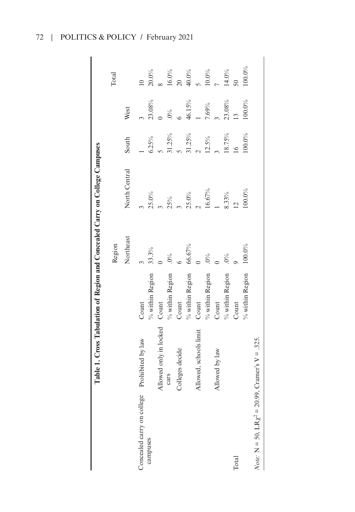| q<br>ļ                                     |
|--------------------------------------------|
| J<br>i<br>Li                               |
|                                            |
| <b>THE R PARTIES</b><br>$\frac{1}{2}$<br>١ |
| ļ                                          |
| an one of from<br>.<br>י                   |
| I                                          |
|                                            |
|                                            |
| )<br>(<br>ζ                                |
|                                            |
| i<br>J<br>י<br>ו<br>E<br>E                 |
|                                            |

|                                           | Table 1. Cross Tabulation of Region and Concealed Carry on College Campuses |                    |           |                |                     |                |                 |
|-------------------------------------------|-----------------------------------------------------------------------------|--------------------|-----------|----------------|---------------------|----------------|-----------------|
|                                           |                                                                             |                    | Region    |                |                     |                | Total           |
|                                           |                                                                             |                    | Northeast | North Central  | South               | West           |                 |
| Concealed carry on college                | Prohibited by law                                                           | Count              |           |                |                     |                |                 |
| campuses                                  |                                                                             | $\%$ within Region | 33.3%     | $25.0\%$       | 6.25%               | 23.08%         | $20.0\%$        |
|                                           | Allowed only in locked                                                      | Count              |           |                | $\frac{1}{2}$       |                |                 |
|                                           | cars                                                                        | $\%$ within Region | $.0\%$    | $25%$<br>3     | $31.25\%$<br>5      | $^{0\%}_{6}$   | $16.0\%$        |
|                                           | Colleges decide                                                             | Count              |           |                |                     |                | $\overline{20}$ |
|                                           |                                                                             | $\%$ within Region | 66.67%    | $25.0\%$       | $\frac{31.25\%}{2}$ | 46.15%         | $40.0\%$<br>5   |
|                                           | Allowed, schools limit                                                      | Count              |           | $\frac{1}{2}$  |                     | $\overline{a}$ |                 |
|                                           |                                                                             | $\%$ within Region | $.0\%$    | $16.67\%$      | 12.5%               | $7.69\%$       | $10.0\%$        |
|                                           | Allowed by law                                                              | Count              |           | $\overline{a}$ |                     |                | $\overline{a}$  |
|                                           |                                                                             | $\%$ within Region | $0\%$     | 8.33%          | 18.75%              | $23.08\%$      | $14.0\%$        |
| Total                                     |                                                                             | Count              |           | $\frac{12}{2}$ | 16                  | $\frac{13}{2}$ | 50 <sub>o</sub> |
|                                           |                                                                             | $%$ within Region  | 100.0%    | 100.0%         | 100.0%              | $100.0\%$      | 100.0%          |
| <i>Note:</i> N = 50, $LR\chi^2 = 20.99$ , | Cramer's $V = 0.325$ .                                                      |                    |           |                |                     |                |                 |

72 | POLITICS & POLICY / February 2021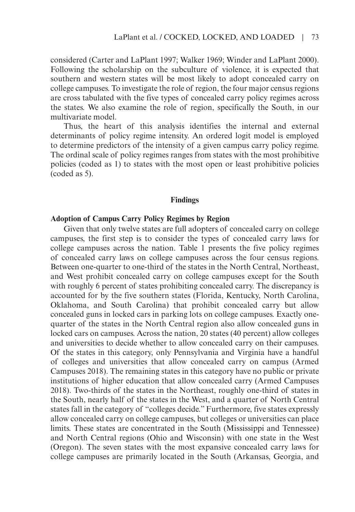considered (Carter and LaPlant 1997; Walker 1969; Winder and LaPlant 2000). Following the scholarship on the subculture of violence, it is expected that southern and western states will be most likely to adopt concealed carry on college campuses. To investigate the role of region, the four major census regions are cross tabulated with the five types of concealed carry policy regimes across the states. We also examine the role of region, specifically the South, in our multivariate model.

Thus, the heart of this analysis identifies the internal and external determinants of policy regime intensity. An ordered logit model is employed to determine predictors of the intensity of a given campus carry policy regime. The ordinal scale of policy regimes ranges from states with the most prohibitive policies (coded as 1) to states with the most open or least prohibitive policies (coded as 5).

#### **Findings**

### **Adoption of Campus Carry Policy Regimes by Region**

Given that only twelve states are full adopters of concealed carry on college campuses, the first step is to consider the types of concealed carry laws for college campuses across the nation. Table 1 presents the five policy regimes of concealed carry laws on college campuses across the four census regions. Between one-quarter to one-third of the states in the North Central, Northeast, and West prohibit concealed carry on college campuses except for the South with roughly 6 percent of states prohibiting concealed carry. The discrepancy is accounted for by the five southern states (Florida, Kentucky, North Carolina, Oklahoma, and South Carolina) that prohibit concealed carry but allow concealed guns in locked cars in parking lots on college campuses. Exactly onequarter of the states in the North Central region also allow concealed guns in locked cars on campuses. Across the nation, 20 states (40 percent) allow colleges and universities to decide whether to allow concealed carry on their campuses. Of the states in this category, only Pennsylvania and Virginia have a handful of colleges and universities that allow concealed carry on campus (Armed Campuses 2018). The remaining states in this category have no public or private institutions of higher education that allow concealed carry (Armed Campuses 2018). Two-thirds of the states in the Northeast, roughly one-third of states in the South, nearly half of the states in the West, and a quarter of North Central states fall in the category of "colleges decide." Furthermore, five states expressly allow concealed carry on college campuses, but colleges or universities can place limits. These states are concentrated in the South (Mississippi and Tennessee) and North Central regions (Ohio and Wisconsin) with one state in the West (Oregon). The seven states with the most expansive concealed carry laws for college campuses are primarily located in the South (Arkansas, Georgia, and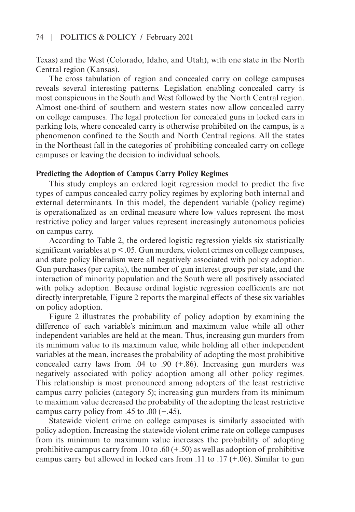Texas) and the West (Colorado, Idaho, and Utah), with one state in the North Central region (Kansas).

The cross tabulation of region and concealed carry on college campuses reveals several interesting patterns. Legislation enabling concealed carry is most conspicuous in the South and West followed by the North Central region. Almost one-third of southern and western states now allow concealed carry on college campuses. The legal protection for concealed guns in locked cars in parking lots, where concealed carry is otherwise prohibited on the campus, is a phenomenon confined to the South and North Central regions. All the states in the Northeast fall in the categories of prohibiting concealed carry on college campuses or leaving the decision to individual schools.

#### **Predicting the Adoption of Campus Carry Policy Regimes**

This study employs an ordered logit regression model to predict the five types of campus concealed carry policy regimes by exploring both internal and external determinants. In this model, the dependent variable (policy regime) is operationalized as an ordinal measure where low values represent the most restrictive policy and larger values represent increasingly autonomous policies on campus carry.

According to Table 2, the ordered logistic regression yields six statistically significant variables at  $p < 0.05$ . Gun murders, violent crimes on college campuses, and state policy liberalism were all negatively associated with policy adoption. Gun purchases (per capita), the number of gun interest groups per state, and the interaction of minority population and the South were all positively associated with policy adoption. Because ordinal logistic regression coefficients are not directly interpretable, Figure 2 reports the marginal effects of these six variables on policy adoption.

Figure 2 illustrates the probability of policy adoption by examining the difference of each variable's minimum and maximum value while all other independent variables are held at the mean. Thus, increasing gun murders from its minimum value to its maximum value, while holding all other independent variables at the mean, increases the probability of adopting the most prohibitive concealed carry laws from  $.04$  to  $.90$  (+.86). Increasing gun murders was negatively associated with policy adoption among all other policy regimes. This relationship is most pronounced among adopters of the least restrictive campus carry policies (category 5); increasing gun murders from its minimum to maximum value decreased the probability of the adopting the least restrictive campus carry policy from .45 to .00  $(-.45)$ .

Statewide violent crime on college campuses is similarly associated with policy adoption. Increasing the statewide violent crime rate on college campuses from its minimum to maximum value increases the probability of adopting prohibitive campus carry from .10 to .60  $(+.50)$  as well as adoption of prohibitive campus carry but allowed in locked cars from .11 to .17 (+.06). Similar to gun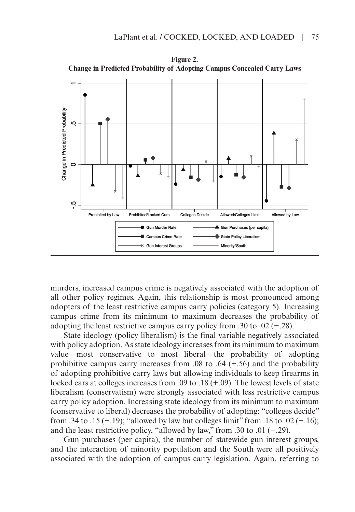

**Figure 2.** 

murders, increased campus crime is negatively associated with the adoption of all other policy regimes. Again, this relationship is most pronounced among adopters of the least restrictive campus carry policies (category 5). Increasing campus crime from its minimum to maximum decreases the probability of adopting the least restrictive campus carry policy from .30 to .02 (−.28).

State ideology (policy liberalism) is the final variable negatively associated with policy adoption. As state ideology increases from its minimum to maximum value—most conservative to most liberal—the probability of adopting prohibitive campus carry increases from  $.08$  to  $.64$  (+.56) and the probability of adopting prohibitive carry laws but allowing individuals to keep firearms in locked cars at colleges increases from .09 to .18 (+.09). The lowest levels of state liberalism (conservatism) were strongly associated with less restrictive campus carry policy adoption. Increasing state ideology from its minimum to maximum (conservative to liberal) decreases the probability of adopting: "colleges decide" from .34 to .15 (−.19); "allowed by law but colleges limit" from .18 to .02 (−.16); and the least restrictive policy, "allowed by law," from .30 to .01 (−.29).

Gun purchases (per capita), the number of statewide gun interest groups, and the interaction of minority population and the South were all positively associated with the adoption of campus carry legislation. Again, referring to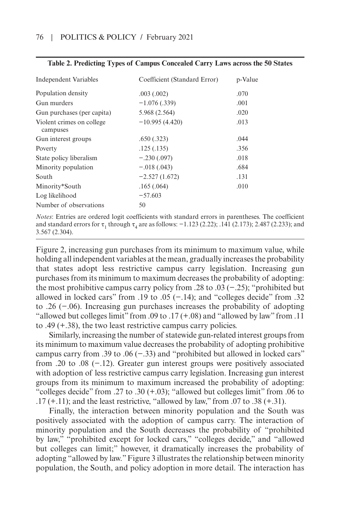| Independent Variables                 | Coefficient (Standard Error) | p-Value |
|---------------------------------------|------------------------------|---------|
| Population density                    | .003(.002)                   | .070    |
| Gun murders                           | $-1.076(.339)$               | .001    |
| Gun purchases (per capita)            | 5.968 (2.564)                | .020    |
| Violent crimes on college<br>campuses | $-10.995(4.420)$             | .013    |
| Gun interest groups                   | .650(.323)                   | .044    |
| Poverty                               | .125(.135)                   | .356    |
| State policy liberalism               | $-.230(.097)$                | .018    |
| Minority population                   | $-.018(.043)$                | .684    |
| South                                 | $-2.527(1.672)$              | .131    |
| Minority*South                        | .165(.064)                   | .010    |
| Log likelihood                        | $-57.603$                    |         |
| Number of observations                | 50                           |         |

#### **Table 2. Predicting Types of Campus Concealed Carry Laws across the 50 States**

*Notes*: Entries are ordered logit coefficients with standard errors in parentheses. The coefficient and standard errors for  $\tau_1$  through  $\tau_4$  are as follows:  $-1.123$  (2.22); .141 (2.173); 2.487 (2.233); and 3.567 (2.304).

Figure 2, increasing gun purchases from its minimum to maximum value, while holding all independent variables at the mean, gradually increases the probability that states adopt less restrictive campus carry legislation. Increasing gun purchases from its minimum to maximum decreases the probability of adopting: the most prohibitive campus carry policy from .28 to .03 (−.25); "prohibited but allowed in locked cars" from .19 to .05  $(-.14)$ ; and "colleges decide" from .32 to .26 (−.06). Increasing gun purchases increases the probability of adopting "allowed but colleges limit" from .09 to .17  $(+.08)$  and "allowed by law" from .11 to .49 (+.38), the two least restrictive campus carry policies.

Similarly, increasing the number of statewide gun-related interest groups from its minimum to maximum value decreases the probability of adopting prohibitive campus carry from .39 to .06 (−.33) and "prohibited but allowed in locked cars" from .20 to .08 (−.12). Greater gun interest groups were positively associated with adoption of less restrictive campus carry legislation. Increasing gun interest groups from its minimum to maximum increased the probability of adopting: "colleges decide" from .27 to .30 (+.03); "allowed but colleges limit" from .06 to  $.17 (+.11)$ ; and the least restrictive, "allowed by law," from  $.07$  to  $.38 (+.31)$ .

Finally, the interaction between minority population and the South was positively associated with the adoption of campus carry. The interaction of minority population and the South decreases the probability of "prohibited by law," "prohibited except for locked cars," "colleges decide," and "allowed but colleges can limit;" however, it dramatically increases the probability of adopting "allowed by law." Figure 3 illustrates the relationship between minority population, the South, and policy adoption in more detail. The interaction has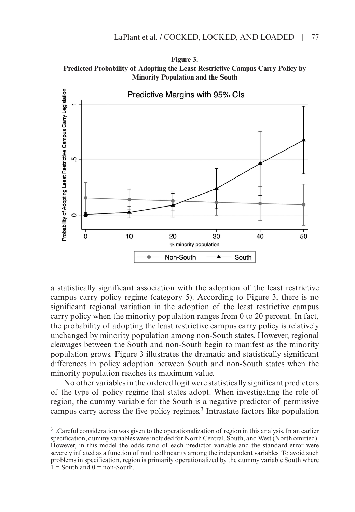



a statistically significant association with the adoption of the least restrictive campus carry policy regime (category 5). According to Figure 3, there is no significant regional variation in the adoption of the least restrictive campus carry policy when the minority population ranges from 0 to 20 percent. In fact, the probability of adopting the least restrictive campus carry policy is relatively unchanged by minority population among non-South states. However, regional cleavages between the South and non-South begin to manifest as the minority population grows. Figure 3 illustrates the dramatic and statistically significant differences in policy adoption between South and non-South states when the minority population reaches its maximum value.

No other variables in the ordered logit were statistically significant predictors of the type of policy regime that states adopt. When investigating the role of region, the dummy variable for the South is a negative predictor of permissive campus carry across the five policy regimes.3 Intrastate factors like population

<sup>3 .</sup>Careful consideration was given to the operationalization of region in this analysis. In an earlier specification, dummy variables were included for North Central, South, and West (North omitted). However, in this model the odds ratio of each predictor variable and the standard error were severely inflated as a function of multicollinearity among the independent variables. To avoid such problems in specification, region is primarily operationalized by the dummy variable South where  $1 =$  South and  $0 =$  non-South.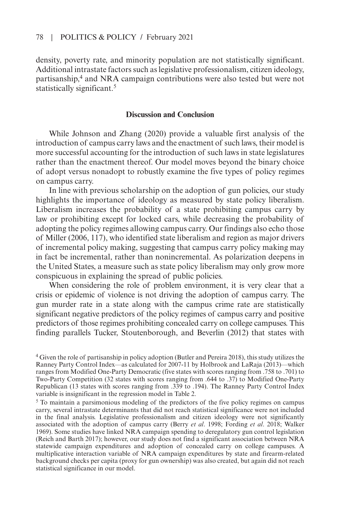density, poverty rate, and minority population are not statistically significant. Additional intrastate factors such as legislative professionalism, citizen ideology, partisanship,4 and NRA campaign contributions were also tested but were not statistically significant.<sup>5</sup>

## **Discussion and Conclusion**

While Johnson and Zhang (2020) provide a valuable first analysis of the introduction of campus carry laws and the enactment of such laws, their model is more successful accounting for the introduction of such laws in state legislatures rather than the enactment thereof. Our model moves beyond the binary choice of adopt versus nonadopt to robustly examine the five types of policy regimes on campus carry.

In line with previous scholarship on the adoption of gun policies, our study highlights the importance of ideology as measured by state policy liberalism. Liberalism increases the probability of a state prohibiting campus carry by law or prohibiting except for locked cars, while decreasing the probability of adopting the policy regimes allowing campus carry. Our findings also echo those of Miller (2006, 117), who identified state liberalism and region as major drivers of incremental policy making, suggesting that campus carry policy making may in fact be incremental, rather than nonincremental. As polarization deepens in the United States, a measure such as state policy liberalism may only grow more conspicuous in explaining the spread of public policies.

When considering the role of problem environment, it is very clear that a crisis or epidemic of violence is not driving the adoption of campus carry. The gun murder rate in a state along with the campus crime rate are statistically significant negative predictors of the policy regimes of campus carry and positive predictors of those regimes prohibiting concealed carry on college campuses. This finding parallels Tucker, Stoutenborough, and Beverlin (2012) that states with

5 To maintain a parsimonious modeling of the predictors of the five policy regimes on campus carry, several intrastate determinants that did not reach statistical significance were not included in the final analysis. Legislative professionalism and citizen ideology were not significantly associated with the adoption of campus carry (Berry *et al*. 1998; Fording *et al*. 2018; Walker 1969). Some studies have linked NRA campaign spending to deregulatory gun control legislation (Reich and Barth 2017); however, our study does not find a significant association between NRA statewide campaign expenditures and adoption of concealed carry on college campuses. A multiplicative interaction variable of NRA campaign expenditures by state and firearm-related background checks per capita (proxy for gun ownership) was also created, but again did not reach statistical significance in our model.

<sup>4</sup> Given the role of partisanship in policy adoption (Butler and Pereira 2018), this study utilizes the Ranney Party Control Index—as calculated for 2007-11 by Holbrook and LaRaja (2013)—which ranges from Modified One-Party Democratic (five states with scores ranging from .758 to .701) to Two-Party Competition (32 states with scores ranging from .644 to .37) to Modified One-Party Republican (13 states with scores ranging from .339 to .194). The Ranney Party Control Index variable is insignificant in the regression model in Table 2.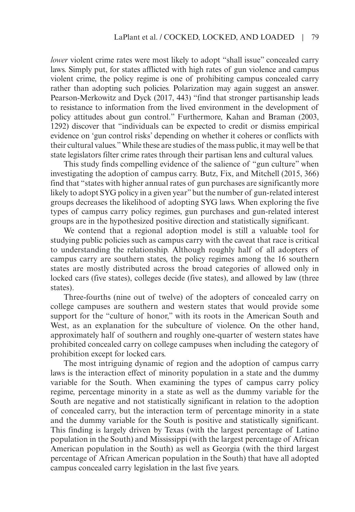*lower* violent crime rates were most likely to adopt "shall issue" concealed carry laws. Simply put, for states afflicted with high rates of gun violence and campus violent crime, the policy regime is one of prohibiting campus concealed carry rather than adopting such policies. Polarization may again suggest an answer. Pearson-Merkowitz and Dyck (2017, 443) "find that stronger partisanship leads to resistance to information from the lived environment in the development of policy attitudes about gun control." Furthermore, Kahan and Braman (2003, 1292) discover that "individuals can be expected to credit or dismiss empirical evidence on 'gun control risks' depending on whether it coheres or conflicts with their cultural values." While these are studies of the mass public, it may well be that state legislators filter crime rates through their partisan lens and cultural values.

This study finds compelling evidence of the salience of "gun culture" when investigating the adoption of campus carry. Butz, Fix, and Mitchell (2015, 366) find that "states with higher annual rates of gun purchases are significantly more likely to adopt SYG policy in a given year" but the number of gun-related interest groups decreases the likelihood of adopting SYG laws. When exploring the five types of campus carry policy regimes, gun purchases and gun-related interest groups are in the hypothesized positive direction and statistically significant.

We contend that a regional adoption model is still a valuable tool for studying public policies such as campus carry with the caveat that race is critical to understanding the relationship. Although roughly half of all adopters of campus carry are southern states, the policy regimes among the 16 southern states are mostly distributed across the broad categories of allowed only in locked cars (five states), colleges decide (five states), and allowed by law (three states).

Three-fourths (nine out of twelve) of the adopters of concealed carry on college campuses are southern and western states that would provide some support for the "culture of honor," with its roots in the American South and West, as an explanation for the subculture of violence. On the other hand, approximately half of southern and roughly one-quarter of western states have prohibited concealed carry on college campuses when including the category of prohibition except for locked cars.

The most intriguing dynamic of region and the adoption of campus carry laws is the interaction effect of minority population in a state and the dummy variable for the South. When examining the types of campus carry policy regime, percentage minority in a state as well as the dummy variable for the South are negative and not statistically significant in relation to the adoption of concealed carry, but the interaction term of percentage minority in a state and the dummy variable for the South is positive and statistically significant. This finding is largely driven by Texas (with the largest percentage of Latino population in the South) and Mississippi (with the largest percentage of African American population in the South) as well as Georgia (with the third largest percentage of African American population in the South) that have all adopted campus concealed carry legislation in the last five years.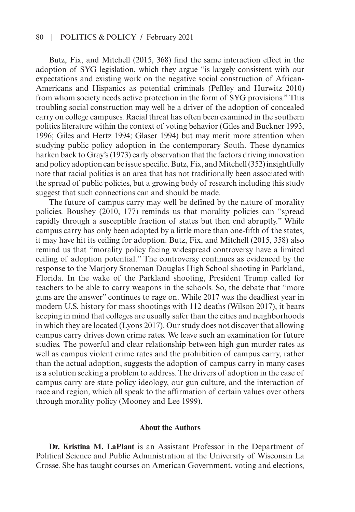### 80 | Politics & Policy / February 2021

Butz, Fix, and Mitchell (2015, 368) find the same interaction effect in the adoption of SYG legislation, which they argue "is largely consistent with our expectations and existing work on the negative social construction of African-Americans and Hispanics as potential criminals (Peffley and Hurwitz 2010) from whom society needs active protection in the form of SYG provisions." This troubling social construction may well be a driver of the adoption of concealed carry on college campuses. Racial threat has often been examined in the southern politics literature within the context of voting behavior (Giles and Buckner 1993, 1996; Giles and Hertz 1994; Glaser 1994) but may merit more attention when studying public policy adoption in the contemporary South. These dynamics harken back to Gray's (1973) early observation that the factors driving innovation and policy adoption can be issue specific. Butz, Fix, and Mitchell (352) insightfully note that racial politics is an area that has not traditionally been associated with the spread of public policies, but a growing body of research including this study suggest that such connections can and should be made.

The future of campus carry may well be defined by the nature of morality policies. Boushey (2010, 177) reminds us that morality policies can "spread rapidly through a susceptible fraction of states but then end abruptly." While campus carry has only been adopted by a little more than one-fifth of the states, it may have hit its ceiling for adoption. Butz, Fix, and Mitchell (2015, 358) also remind us that "morality policy facing widespread controversy have a limited ceiling of adoption potential." The controversy continues as evidenced by the response to the Marjory Stoneman Douglas High School shooting in Parkland, Florida. In the wake of the Parkland shooting, President Trump called for teachers to be able to carry weapons in the schools. So, the debate that "more guns are the answer" continues to rage on. While 2017 was the deadliest year in modern U.S. history for mass shootings with 112 deaths (Wilson 2017), it bears keeping in mind that colleges are usually safer than the cities and neighborhoods in which they are located (Lyons 2017). Our study does not discover that allowing campus carry drives down crime rates. We leave such an examination for future studies. The powerful and clear relationship between high gun murder rates as well as campus violent crime rates and the prohibition of campus carry, rather than the actual adoption, suggests the adoption of campus carry in many cases is a solution seeking a problem to address. The drivers of adoption in the case of campus carry are state policy ideology, our gun culture, and the interaction of race and region, which all speak to the affirmation of certain values over others through morality policy (Mooney and Lee 1999).

### **About the Authors**

**Dr. Kristina M. LaPlant** is an Assistant Professor in the Department of Political Science and Public Administration at the University of Wisconsin La Crosse. She has taught courses on American Government, voting and elections,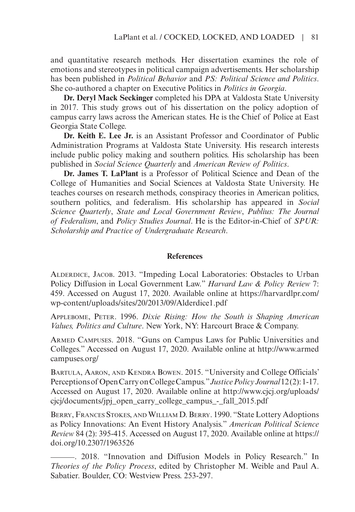and quantitative research methods. Her dissertation examines the role of emotions and stereotypes in political campaign advertisements. Her scholarship has been published in *Political Behavior* and *PS: Political Science and Politics*. She co-authored a chapter on Executive Politics in *Politics in Georgia*.

**Dr. Deryl Mack Seckinger** completed his DPA at Valdosta State University in 2017. This study grows out of his dissertation on the policy adoption of campus carry laws across the American states. He is the Chief of Police at East Georgia State College.

**Dr. Keith E. Lee Jr.** is an Assistant Professor and Coordinator of Public Administration Programs at Valdosta State University. His research interests include public policy making and southern politics. His scholarship has been published in *Social Science Quarterly* and *American Review of Politics*.

**Dr. James T. LaPlant** is a Professor of Political Science and Dean of the College of Humanities and Social Sciences at Valdosta State University. He teaches courses on research methods, conspiracy theories in American politics, southern politics, and federalism. His scholarship has appeared in *Social Science Quarterly*, *State and Local Government Review*, *Publius: The Journal of Federalism*, and *Policy Studies Journal*. He is the Editor-in-Chief of *SPUR: Scholarship and Practice of Undergraduate Research*.

### **References**

Alderdice, Jacob. 2013. "Impeding Local Laboratories: Obstacles to Urban Policy Diffusion in Local Government Law." *Harvard Law & Policy Review* 7: 459. Accessed on August 17, 2020. Available online at [https://harvardlpr.com/](https://harvardlpr.com/wp-content/uploads/sites/20/2013/09/Alderdice1.pdf) [wp-content/uploads/sites/20/2013/09/Alderdice1.pdf](https://harvardlpr.com/wp-content/uploads/sites/20/2013/09/Alderdice1.pdf)

Applebome, Peter. 1996. *Dixie Rising: How the South is Shaping American Values, Politics and Culture*. New York, NY: Harcourt Brace & Company.

Armed Campuses. 2018. "Guns on Campus Laws for Public Universities and Colleges." Accessed on August 17, 2020. Available online at [http://www.armed](http://www.armedcampuses.org/) [campuses.org/](http://www.armedcampuses.org/)

BARTULA, AARON, AND KENDRA BOWEN. 2015. "University and College Officials' Perceptions of Open Carry on College Campus." *Justice Policy Journal* 12 (2): 1-17. Accessed on August 17, 2020. Available online at [http://www.cjcj.org/uploads/](http://www.cjcj.org/uploads/cjcj/documents/jpj_open_carry_college_campus_-_fall_2015.pdf) [cjcj/documents/jpj\\_open\\_carry\\_college\\_campus\\_-\\_fall\\_2015.pdf](http://www.cjcj.org/uploads/cjcj/documents/jpj_open_carry_college_campus_-_fall_2015.pdf)

BERRY, FRANCES STOKES, AND WILLIAM D. BERRY. 1990. "State Lottery Adoptions as Policy Innovations: An Event History Analysis." *American Political Science Review* 84 (2): 395-415. Accessed on August 17, 2020. Available online at [https://](https://doi.org/10.2307/1963526) [doi.org/10.2307/1963526](https://doi.org/10.2307/1963526)

 . 2018. "Innovation and Diffusion Models in Policy Research." In *Theories of the Policy Process*, edited by Christopher M. Weible and Paul A. Sabatier. Boulder, CO: Westview Press. 253-297.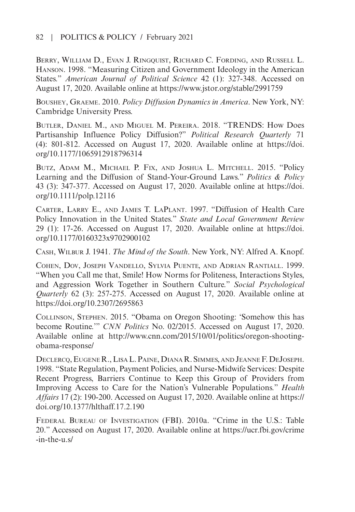Berry, William D., Evan J. Ringquist, Richard C. Fording, and Russell L. Hanson. 1998. "Measuring Citizen and Government Ideology in the American States." *American Journal of Political Science* 42 (1): 327-348. Accessed on August 17, 2020. Available online at <https://www.jstor.org/stable/2991759>

Boushey, Graeme. 2010. *Policy Diffusion Dynamics in America*. New York, NY: Cambridge University Press.

Butler, Daniel M., and Miguel M. Pereira. 2018. "TRENDS: How Does Partisanship Influence Policy Diffusion?" *Political Research Quarterly* 71 (4): 801-812. Accessed on August 17, 2020. Available online at [https://doi.](https://doi.org/10.1177/1065912918796314) [org/10.1177/1065912918796314](https://doi.org/10.1177/1065912918796314)

Butz, Adam M., Michael P. Fix, and Joshua L. Mitchell. 2015. "Policy Learning and the Diffusion of Stand-Your-Ground Laws." *Politics & Policy* 43 (3): 347-377. Accessed on August 17, 2020. Available online at [https://doi.](https://doi.org/10.1111/polp.12116) [org/10.1111/polp.12116](https://doi.org/10.1111/polp.12116)

Carter, Larry E., and James T. LaPlant. 1997. "Diffusion of Health Care Policy Innovation in the United States." *State and Local Government Review* 29 (1): 17-26. Accessed on August 17, 2020. Available online at [https://doi.](https://doi.org/10.1177/0160323x9702900102) [org/10.1177/0160323x9702900102](https://doi.org/10.1177/0160323x9702900102)

Cash, Wilbur J. 1941. *The Mind of the South*. New York, NY: Alfred A. Knopf.

Cohen, Dov, Joseph Vandello, Sylvia Puente, and Adrian Rantiall. 1999. "When you Call me that, Smile! How Norms for Politeness, Interactions Styles, and Aggression Work Together in Southern Culture." *Social Psychological Quarterly* 62 (3): 257-275. Accessed on August 17, 2020. Available online at <https://doi.org/10.2307/2695863>

Collinson, Stephen. 2015. "Obama on Oregon Shooting: 'Somehow this has become Routine.'" *CNN Politics* No. 02/2015. Accessed on August 17, 2020. Available online at [http://www.cnn.com/2015/10/01/politics/oregon-shooting](http://www.cnn.com/2015/10/01/politics/oregon-shooting-obama-response/)[obama-response/](http://www.cnn.com/2015/10/01/politics/oregon-shooting-obama-response/)

Declercq, EugeneR., Lisa L.Paine, Diana R. Simmes, and Jeanne F. DeJoseph. 1998. "State Regulation, Payment Policies, and Nurse-Midwife Services: Despite Recent Progress, Barriers Continue to Keep this Group of Providers from Improving Access to Care for the Nation's Vulnerable Populations." *Health Affairs* 17 (2): 190-200. Accessed on August 17, 2020. Available online at [https://](https://doi.org/10.1377/hlthaff.17.2.190) [doi.org/10.1377/hlthaff.17.2.190](https://doi.org/10.1377/hlthaff.17.2.190)

Federal Bureau of Investigation (FBI). 2010a. "Crime in the U.S.: Table 20." Accessed on August 17, 2020. Available online at [https://ucr.fbi.gov/crime](https://ucr.fbi.gov/crime-in-the-u.s/) [-in-the-u.s/](https://ucr.fbi.gov/crime-in-the-u.s/)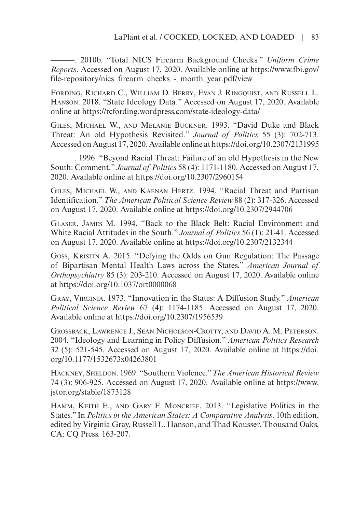. 2010b. "Total NICS Firearm Background Checks." *Uniform Crime Reports*. Accessed on August 17, 2020. Available online at [https://www.fbi.gov/](https://www.fbi.gov/file-repository/nics_firearm_checks_-_month_year.pdf/view) [file-repository/nics\\_firearm\\_checks\\_-\\_month\\_year.pdf/view](https://www.fbi.gov/file-repository/nics_firearm_checks_-_month_year.pdf/view)

Fording, Richard C., William D. Berry, Evan J. Ringquist, and Russell L. Hanson. 2018. "State Ideology Data." Accessed on August 17, 2020. Available online at <https://rcfording.wordpress.com/state-ideology-data/>

Giles, Michael W., and Melanie Buckner. 1993. "David Duke and Black Threat: An old Hypothesis Revisited." *Journal of Politics* 55 (3): 702-713. Accessed on August 17, 2020. Available online at<https://doi.org/10.2307/2131995>

 . 1996. "Beyond Racial Threat: Failure of an old Hypothesis in the New South: Comment." *Journal of Politics* 58 (4): 1171-1180. Accessed on August 17, 2020. Available online at <https://doi.org/10.2307/2960154>

Giles, Michael W., and Kaenan Hertz. 1994. "Racial Threat and Partisan Identification." *The American Political Science Review* 88 (2): 317-326. Accessed on August 17, 2020. Available online at <https://doi.org/10.2307/2944706>

Glaser, James M. 1994. "Back to the Black Belt: Racial Environment and White Racial Attitudes in the South." *Journal of Politics* 56 (1): 21-41. Accessed on August 17, 2020. Available online at <https://doi.org/10.2307/2132344>

Goss, Kristin A. 2015. "Defying the Odds on Gun Regulation: The Passage of Bipartisan Mental Health Laws across the States." *American Journal of Orthopsychiatry* 85 (3): 203-210. Accessed on August 17, 2020. Available online at <https://doi.org/10.1037/ort0000068>

Gray, Virginia. 1973. "Innovation in the States: A Diffusion Study." *American Political Science Review* 67 (4): 1174-1185. Accessed on August 17, 2020. Available online at<https://doi.org/10.2307/1956539>

Grossback, Lawrence J., Sean Nicholson-Crotty, and David A. M. Peterson. 2004. "Ideology and Learning in Policy Diffusion." *American Politics Research* 32 (5): 521-545. Accessed on August 17, 2020. Available online at [https://doi.](https://doi.org/10.1177/1532673x04263801) [org/10.1177/1532673x04263801](https://doi.org/10.1177/1532673x04263801)

Hackney, Sheldon. 1969. "Southern Violence." *The American Historical Review* 74 (3): 906-925. Accessed on August 17, 2020. Available online at [https://www.](https://www.jstor.org/stable/1873128) [jstor.org/stable/1873128](https://www.jstor.org/stable/1873128)

Hamm, Keith E., and Gary F. Moncrief. 2013. "Legislative Politics in the States." In *Politics in the American States: A Comparative Analysis*. 10th edition, edited by Virginia Gray, Russell L. Hanson, and Thad Kousser. Thousand Oaks, CA: CQ Press. 163-207.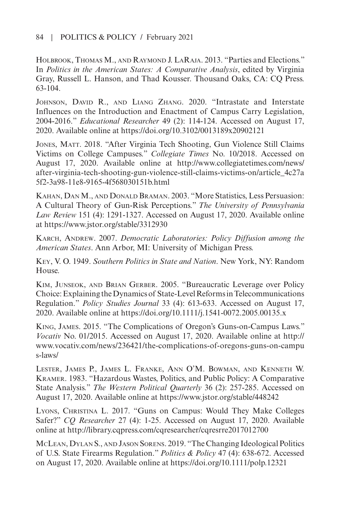HOLBROOK, THOMAS M., AND RAYMOND J. LARAJA. 2013. "Parties and Elections." In *Politics in the American States: A Comparative Analysis*, edited by Virginia Gray, Russell L. Hanson, and Thad Kousser. Thousand Oaks, CA: CQ Press. 63-104.

Johnson, David R., and Liang Zhang. 2020. "Intrastate and Interstate Influences on the Introduction and Enactment of Campus Carry Legislation, 2004-2016." *Educational Researcher* 49 (2): 114-124. Accessed on August 17, 2020. Available online at <https://doi.org/10.3102/0013189x20902121>

Jones, Matt. 2018. "After Virginia Tech Shooting, Gun Violence Still Claims Victims on College Campuses." *Collegiate Times* No. 10/2018. Accessed on August 17, 2020. Available online at [http://www.collegiatetimes.com/news/](http://www.collegiatetimes.com/news/after-virginia-tech-shooting-gun-violence-still-claims-victims-on/article_4c27a5f2-3a98-11e8-9165-4f568030151b.html) [after-virginia-tech-shooting-gun-violence-still-claims-victims-on/article\\_4c27a](http://www.collegiatetimes.com/news/after-virginia-tech-shooting-gun-violence-still-claims-victims-on/article_4c27a5f2-3a98-11e8-9165-4f568030151b.html) [5f2-3a98-11e8-9165-4f568030151b.html](http://www.collegiatetimes.com/news/after-virginia-tech-shooting-gun-violence-still-claims-victims-on/article_4c27a5f2-3a98-11e8-9165-4f568030151b.html)

Kahan, Dan M., and Donald Braman. 2003. "More Statistics, Less Persuasion: A Cultural Theory of Gun-Risk Perceptions." *The University of Pennsylvania Law Review* 151 (4): 1291-1327. Accessed on August 17, 2020. Available online at <https://www.jstor.org/stable/3312930>

Karch, Andrew. 2007. *Democratic Laboratories: Policy Diffusion among the American States*. Ann Arbor, MI: University of Michigan Press.

Key, V. O. 1949. *Southern Politics in State and Nation*. New York, NY: Random House.

Kim, Junseok, and Brian Gerber. 2005. "Bureaucratic Leverage over Policy Choice: Explaining the Dynamics of State-Level Reforms in Telecommunications Regulation." *Policy Studies Journal* 33 (4): 613-633. Accessed on August 17, 2020. Available online at <https://doi.org/10.1111/j.1541-0072.2005.00135.x>

King, James. 2015. "The Complications of Oregon's Guns-on-Campus Laws." *Vocativ* No. 01/2015. Accessed on August 17, 2020. Available online at [http://](http://www.vocativ.com/news/236421/the-complications-of-oregons-guns-on-campus-laws/) [www.vocativ.com/news/236421/the-complications-of-oregons-guns-on-campu](http://www.vocativ.com/news/236421/the-complications-of-oregons-guns-on-campus-laws/) [s-laws/](http://www.vocativ.com/news/236421/the-complications-of-oregons-guns-on-campus-laws/)

Lester, James P., James L. Franke, Ann O'M. Bowman, and Kenneth W. Kramer. 1983. "Hazardous Wastes, Politics, and Public Policy: A Comparative State Analysis." *The Western Political Quarterly* 36 (2): 257-285. Accessed on August 17, 2020. Available online at <https://www.jstor.org/stable/448242>

Lyons, Christina L. 2017. "Guns on Campus: Would They Make Colleges Safer?" *CQ Researcher* 27 (4): 1-25. Accessed on August 17, 2020. Available online at<http://library.cqpress.com/cqresearcher/cqresrre2017012700>

McLean, Dylan S., and Jason Sorens. 2019. "The Changing Ideological Politics of U.S. State Firearms Regulation." *Politics & Policy* 47 (4): 638-672. Accessed on August 17, 2020. Available online at<https://doi.org/10.1111/polp.12321>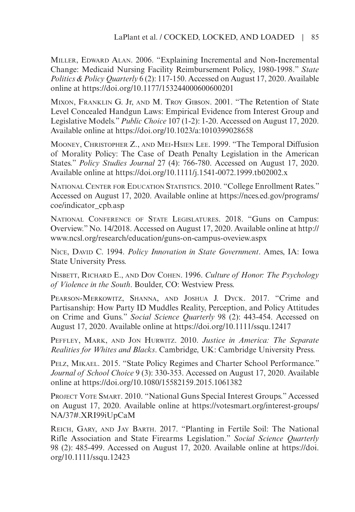MILLER, EDWARD ALAN. 2006. "Explaining Incremental and Non-Incremental Change: Medicaid Nursing Facility Reimbursement Policy, 1980-1998." *State Politics & Policy Quarterly* 6 (2): 117-150. Accessed on August 17, 2020. Available online at <https://doi.org/10.1177/153244000600600201>

Mixon, Franklin G. Jr, and M. Troy Gibson. 2001. "The Retention of State Level Concealed Handgun Laws: Empirical Evidence from Interest Group and Legislative Models." *Public Choice* 107 (1-2): 1-20. Accessed on August 17, 2020. Available online at<https://doi.org/10.1023/a:1010399028658>

Mooney, Christopher Z., and Mei-Hsien Lee. 1999. "The Temporal Diffusion of Morality Policy: The Case of Death Penalty Legislation in the American States." *Policy Studies Journal* 27 (4): 766-780. Accessed on August 17, 2020. Available online at<https://doi.org/10.1111/j.1541-0072.1999.tb02002.x>

National Center for Education Statistics. 2010. "College Enrollment Rates." Accessed on August 17, 2020. Available online at [https://nces.ed.gov/programs/](https://nces.ed.gov/programs/coe/indicator_cpb.asp) [coe/indicator\\_cpb.asp](https://nces.ed.gov/programs/coe/indicator_cpb.asp)

NATIONAL CONFERENCE OF STATE LEGISLATURES. 2018. "Guns on Campus: Overview." No. 14/2018. Accessed on August 17, 2020. Available online at [http://](http://www.ncsl.org/research/education/guns-on-campus-oveview.aspx) [www.ncsl.org/research/education/guns-on-campus-oveview.aspx](http://www.ncsl.org/research/education/guns-on-campus-oveview.aspx)

NICE, DAVID C. 1994. *Policy Innovation in State Government*. Ames, IA: Iowa State University Press.

Nisbett, Richard E., and Dov Cohen. 1996. *Culture of Honor: The Psychology of Violence in the South*. Boulder, CO: Westview Press.

PEARSON-MERKOWITZ, SHANNA, AND JOSHUA J. DYCK. 2017. "Crime and Partisanship: How Party ID Muddles Reality, Perception, and Policy Attitudes on Crime and Guns." *Social Science Quarterly* 98 (2): 443-454. Accessed on August 17, 2020. Available online at <https://doi.org/10.1111/ssqu.12417>

Peffley, Mark, and Jon Hurwitz. 2010. *Justice in America: The Separate Realities for Whites and Blacks*. Cambridge, UK: Cambridge University Press.

Pelz, Mikael. 2015. "State Policy Regimes and Charter School Performance." *Journal of School Choice* 9 (3): 330-353. Accessed on August 17, 2020. Available online at <https://doi.org/10.1080/15582159.2015.1061382>

Project Vote Smart. 2010. "National Guns Special Interest Groups." Accessed on August 17, 2020. Available online at [https://votesmart.org/interest-groups/](https://votesmart.org/interest-groups/NA/37#.XRI99iUpCaM) [NA/37#.XRI99iUpCaM](https://votesmart.org/interest-groups/NA/37#.XRI99iUpCaM)

Reich, Gary, and Jay Barth. 2017. "Planting in Fertile Soil: The National Rifle Association and State Firearms Legislation." *Social Science Quarterly* 98 (2): 485-499. Accessed on August 17, 2020. Available online at [https://doi.](https://doi.org/10.1111/ssqu.12423) [org/10.1111/ssqu.12423](https://doi.org/10.1111/ssqu.12423)